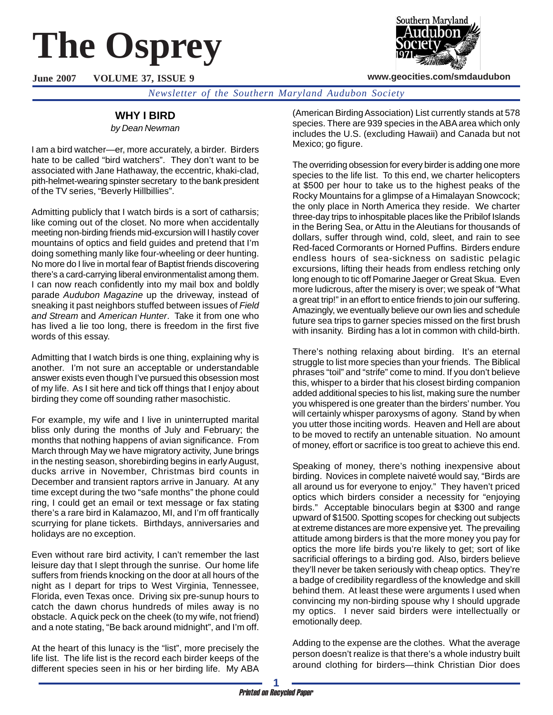# **The Osprey**

**June 2007 VOLUME 37, ISSUE 9**



**www.geocities.com/smdaudubon**

# **WHY I BIRD**

#### *by Dean Newman*

I am a bird watcher—er, more accurately, a birder. Birders hate to be called "bird watchers". They don't want to be associated with Jane Hathaway, the eccentric, khaki-clad, pith-helmet-wearing spinster secretary to the bank president of the TV series, "Beverly Hillbillies".

Admitting publicly that I watch birds is a sort of catharsis; like coming out of the closet. No more when accidentally meeting non-birding friends mid-excursion will I hastily cover mountains of optics and field guides and pretend that I'm doing something manly like four-wheeling or deer hunting. No more do I live in mortal fear of Baptist friends discovering there's a card-carrying liberal environmentalist among them. I can now reach confidently into my mail box and boldly parade *Audubon Magazine* up the driveway, instead of sneaking it past neighbors stuffed between issues of *Field and Stream* and *American Hunter*. Take it from one who has lived a lie too long, there is freedom in the first five words of this essay.

Admitting that I watch birds is one thing, explaining why is another. I'm not sure an acceptable or understandable answer exists even though I've pursued this obsession most of my life. As I sit here and tick off things that I enjoy about birding they come off sounding rather masochistic.

For example, my wife and I live in uninterrupted marital bliss only during the months of July and February; the months that nothing happens of avian significance. From March through May we have migratory activity, June brings in the nesting season, shorebirding begins in early August, ducks arrive in November, Christmas bird counts in December and transient raptors arrive in January. At any time except during the two "safe months" the phone could ring, I could get an email or text message or fax stating there's a rare bird in Kalamazoo, MI, and I'm off frantically scurrying for plane tickets. Birthdays, anniversaries and holidays are no exception.

Even without rare bird activity, I can't remember the last leisure day that I slept through the sunrise. Our home life suffers from friends knocking on the door at all hours of the night as I depart for trips to West Virginia, Tennessee, Florida, even Texas once. Driving six pre-sunup hours to catch the dawn chorus hundreds of miles away is no obstacle. A quick peck on the cheek (to my wife, not friend) and a note stating, "Be back around midnight", and I'm off.

At the heart of this lunacy is the "list", more precisely the life list. The life list is the record each birder keeps of the different species seen in his or her birding life. My ABA (American Birding Association) List currently stands at 578 species. There are 939 species in the ABA area which only includes the U.S. (excluding Hawaii) and Canada but not Mexico; go figure.

The overriding obsession for every birder is adding one more species to the life list. To this end, we charter helicopters at \$500 per hour to take us to the highest peaks of the Rocky Mountains for a glimpse of a Himalayan Snowcock; the only place in North America they reside. We charter three-day trips to inhospitable places like the Pribilof Islands in the Bering Sea, or Attu in the Aleutians for thousands of dollars, suffer through wind, cold, sleet, and rain to see Red-faced Cormorants or Horned Puffins. Birders endure endless hours of sea-sickness on sadistic pelagic excursions, lifting their heads from endless retching only long enough to tic off Pomarine Jaeger or Great Skua. Even more ludicrous, after the misery is over; we speak of "What a great trip!" in an effort to entice friends to join our suffering. Amazingly, we eventually believe our own lies and schedule future sea trips to garner species missed on the first brush with insanity. Birding has a lot in common with child-birth.

There's nothing relaxing about birding. It's an eternal struggle to list more species than your friends. The Biblical phrases "toil" and "strife" come to mind. If you don't believe this, whisper to a birder that his closest birding companion added additional species to his list, making sure the number you whispered is one greater than the birders' number. You will certainly whisper paroxysms of agony. Stand by when you utter those inciting words. Heaven and Hell are about to be moved to rectify an untenable situation. No amount of money, effort or sacrifice is too great to achieve this end.

Speaking of money, there's nothing inexpensive about birding. Novices in complete naiveté would say, "Birds are all around us for everyone to enjoy." They haven't priced optics which birders consider a necessity for "enjoying birds." Acceptable binoculars begin at \$300 and range upward of \$1500. Spotting scopes for checking out subjects at extreme distances are more expensive yet. The prevailing attitude among birders is that the more money you pay for optics the more life birds you're likely to get; sort of like sacrificial offerings to a birding god. Also, birders believe they'll never be taken seriously with cheap optics. They're a badge of credibility regardless of the knowledge and skill behind them. At least these were arguments I used when convincing my non-birding spouse why I should upgrade my optics. I never said birders were intellectually or emotionally deep.

Adding to the expense are the clothes. What the average person doesn't realize is that there's a whole industry built around clothing for birders—think Christian Dior does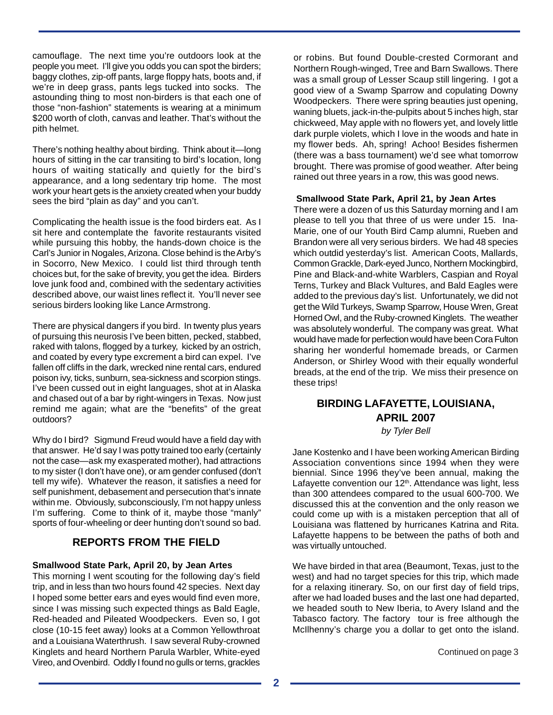camouflage. The next time you're outdoors look at the people you meet. I'll give you odds you can spot the birders; baggy clothes, zip-off pants, large floppy hats, boots and, if we're in deep grass, pants legs tucked into socks. The astounding thing to most non-birders is that each one of those "non-fashion" statements is wearing at a minimum \$200 worth of cloth, canvas and leather. That's without the pith helmet.

There's nothing healthy about birding. Think about it—long hours of sitting in the car transiting to bird's location, long hours of waiting statically and quietly for the bird's appearance, and a long sedentary trip home. The most work your heart gets is the anxiety created when your buddy sees the bird "plain as day" and you can't.

Complicating the health issue is the food birders eat. As I sit here and contemplate the favorite restaurants visited while pursuing this hobby, the hands-down choice is the Carl's Junior in Nogales, Arizona. Close behind is the Arby's in Socorro, New Mexico. I could list third through tenth choices but, for the sake of brevity, you get the idea. Birders love junk food and, combined with the sedentary activities described above, our waist lines reflect it. You'll never see serious birders looking like Lance Armstrong.

There are physical dangers if you bird. In twenty plus years of pursuing this neurosis I've been bitten, pecked, stabbed, raked with talons, flogged by a turkey, kicked by an ostrich, and coated by every type excrement a bird can expel. I've fallen off cliffs in the dark, wrecked nine rental cars, endured poison ivy, ticks, sunburn, sea-sickness and scorpion stings. I've been cussed out in eight languages, shot at in Alaska and chased out of a bar by right-wingers in Texas. Now just remind me again; what are the "benefits" of the great outdoors?

Why do I bird? Sigmund Freud would have a field day with that answer. He'd say I was potty trained too early (certainly not the case—ask my exasperated mother), had attractions to my sister (I don't have one), or am gender confused (don't tell my wife). Whatever the reason, it satisfies a need for self punishment, debasement and persecution that's innate within me. Obviously, subconsciously, I'm not happy unless I'm suffering. Come to think of it, maybe those "manly" sports of four-wheeling or deer hunting don't sound so bad.

## **REPORTS FROM THE FIELD**

## **Smallwood State Park, April 20, by Jean Artes**

This morning I went scouting for the following day's field trip, and in less than two hours found 42 species. Next day I hoped some better ears and eyes would find even more, since I was missing such expected things as Bald Eagle, Red-headed and Pileated Woodpeckers. Even so, I got close (10-15 feet away) looks at a Common Yellowthroat and a Louisiana Waterthrush. I saw several Ruby-crowned Kinglets and heard Northern Parula Warbler, White-eyed Vireo, and Ovenbird. Oddly I found no gulls or terns, grackles

or robins. But found Double-crested Cormorant and Northern Rough-winged, Tree and Barn Swallows. There was a small group of Lesser Scaup still lingering. I got a good view of a Swamp Sparrow and copulating Downy Woodpeckers. There were spring beauties just opening, waning bluets, jack-in-the-pulpits about 5 inches high, star chickweed, May apple with no flowers yet, and lovely little dark purple violets, which I love in the woods and hate in my flower beds. Ah, spring! Achoo! Besides fishermen (there was a bass tournament) we'd see what tomorrow brought. There was promise of good weather. After being rained out three years in a row, this was good news.

#### **Smallwood State Park, April 21, by Jean Artes**

There were a dozen of us this Saturday morning and I am please to tell you that three of us were under 15. Ina-Marie, one of our Youth Bird Camp alumni, Rueben and Brandon were all very serious birders. We had 48 species which outdid yesterday's list. American Coots, Mallards, Common Grackle, Dark-eyed Junco, Northern Mockingbird, Pine and Black-and-white Warblers, Caspian and Royal Terns, Turkey and Black Vultures, and Bald Eagles were added to the previous day's list. Unfortunately, we did not get the Wild Turkeys, Swamp Sparrow, House Wren, Great Horned Owl, and the Ruby-crowned Kinglets. The weather was absolutely wonderful. The company was great. What would have made for perfection would have been Cora Fulton sharing her wonderful homemade breads, or Carmen Anderson, or Shirley Wood with their equally wonderful breads, at the end of the trip. We miss their presence on these trips!

# **BIRDING LAFAYETTE, LOUISIANA, APRIL 2007**

*by Tyler Bell*

Jane Kostenko and I have been working American Birding Association conventions since 1994 when they were biennial. Since 1996 they've been annual, making the Lafayette convention our  $12<sup>th</sup>$ . Attendance was light, less than 300 attendees compared to the usual 600-700. We discussed this at the convention and the only reason we could come up with is a mistaken perception that all of Louisiana was flattened by hurricanes Katrina and Rita. Lafayette happens to be between the paths of both and was virtually untouched.

We have birded in that area (Beaumont, Texas, just to the west) and had no target species for this trip, which made for a relaxing itinerary. So, on our first day of field trips, after we had loaded buses and the last one had departed, we headed south to New Iberia, to Avery Island and the Tabasco factory. The factory tour is free although the McIlhenny's charge you a dollar to get onto the island.

Continued on page 3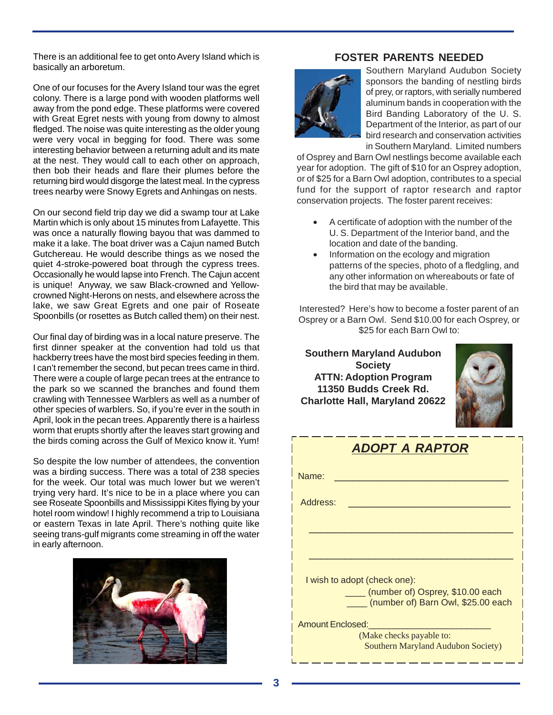There is an additional fee to get onto Avery Island which is basically an arboretum.

One of our focuses for the Avery Island tour was the egret colony. There is a large pond with wooden platforms well away from the pond edge. These platforms were covered with Great Egret nests with young from downy to almost fledged. The noise was quite interesting as the older young were very vocal in begging for food. There was some interesting behavior between a returning adult and its mate at the nest. They would call to each other on approach, then bob their heads and flare their plumes before the returning bird would disgorge the latest meal. In the cypress trees nearby were Snowy Egrets and Anhingas on nests.

On our second field trip day we did a swamp tour at Lake Martin which is only about 15 minutes from Lafayette. This was once a naturally flowing bayou that was dammed to make it a lake. The boat driver was a Cajun named Butch Gutchereau. He would describe things as we nosed the quiet 4-stroke-powered boat through the cypress trees. Occasionally he would lapse into French. The Cajun accent is unique! Anyway, we saw Black-crowned and Yellowcrowned Night-Herons on nests, and elsewhere across the lake, we saw Great Egrets and one pair of Roseate Spoonbills (or rosettes as Butch called them) on their nest.

Our final day of birding was in a local nature preserve. The first dinner speaker at the convention had told us that hackberry trees have the most bird species feeding in them. I can't remember the second, but pecan trees came in third. There were a couple of large pecan trees at the entrance to the park so we scanned the branches and found them crawling with Tennessee Warblers as well as a number of other species of warblers. So, if you're ever in the south in April, look in the pecan trees. Apparently there is a hairless worm that erupts shortly after the leaves start growing and the birds coming across the Gulf of Mexico know it. Yum!

So despite the low number of attendees, the convention was a birding success. There was a total of 238 species for the week. Our total was much lower but we weren't trying very hard. It's nice to be in a place where you can see Roseate Spoonbills and Mississippi Kites flying by your hotel room window! I highly recommend a trip to Louisiana or eastern Texas in late April. There's nothing quite like seeing trans-gulf migrants come streaming in off the water in early afternoon.



## **FOSTER PARENTS NEEDED**



Southern Maryland Audubon Society sponsors the banding of nestling birds of prey, or raptors, with serially numbered aluminum bands in cooperation with the Bird Banding Laboratory of the U. S. Department of the Interior, as part of our bird research and conservation activities in Southern Maryland. Limited numbers

of Osprey and Barn Owl nestlings become available each year for adoption. The gift of \$10 for an Osprey adoption, or of \$25 for a Barn Owl adoption, contributes to a special fund for the support of raptor research and raptor conservation projects. The foster parent receives:

- A certificate of adoption with the number of the U. S. Department of the Interior band, and the location and date of the banding.
- Information on the ecology and migration patterns of the species, photo of a fledgling, and any other information on whereabouts or fate of the bird that may be available.

Interested? Here's how to become a foster parent of an Osprey or a Barn Owl. Send \$10.00 for each Osprey, or \$25 for each Barn Owl to:

**Southern Maryland Audubon Society ATTN: Adoption Program 11350 Budds Creek Rd. Charlotte Hall, Maryland 20622**



| <b>ADOPT A RAPTOR</b>                                                  |  |  |  |  |  |
|------------------------------------------------------------------------|--|--|--|--|--|
| Name:                                                                  |  |  |  |  |  |
| Address:                                                               |  |  |  |  |  |
|                                                                        |  |  |  |  |  |
|                                                                        |  |  |  |  |  |
| I wish to adopt (check one):                                           |  |  |  |  |  |
| (number of) Osprey, \$10.00 each<br>(number of) Barn Owl, \$25.00 each |  |  |  |  |  |
| <b>Amount Enclosed:</b>                                                |  |  |  |  |  |
| (Make checks payable to:<br><b>Southern Maryland Audubon Society)</b>  |  |  |  |  |  |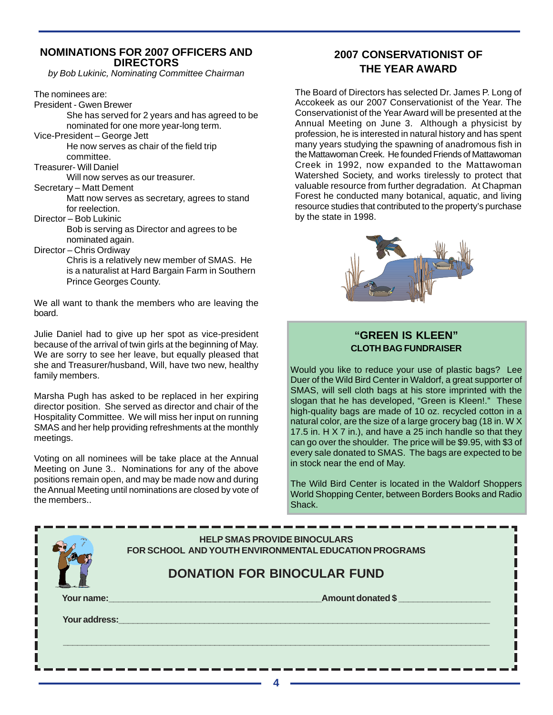## **NOMINATIONS FOR 2007 OFFICERS AND DIRECTORS**

*by Bob Lukinic, Nominating Committee Chairman*

The nominees are:

President - Gwen Brewer

She has served for 2 years and has agreed to be nominated for one more year-long term.

Vice-President – George Jett He now serves as chair of the field trip committee.

Treasurer- Will Daniel

Will now serves as our treasurer.

Secretary – Matt Dement

Matt now serves as secretary, agrees to stand for reelection.

Director – Bob Lukinic

Bob is serving as Director and agrees to be nominated again.

Director – Chris Ordiway

Chris is a relatively new member of SMAS. He is a naturalist at Hard Bargain Farm in Southern Prince Georges County.

We all want to thank the members who are leaving the board.

Julie Daniel had to give up her spot as vice-president because of the arrival of twin girls at the beginning of May. We are sorry to see her leave, but equally pleased that she and Treasurer/husband, Will, have two new, healthy family members.

Marsha Pugh has asked to be replaced in her expiring director position. She served as director and chair of the Hospitality Committee. We will miss her input on running SMAS and her help providing refreshments at the monthly meetings.

Voting on all nominees will be take place at the Annual Meeting on June 3.. Nominations for any of the above positions remain open, and may be made now and during the Annual Meeting until nominations are closed by vote of the members..

# **2007 CONSERVATIONIST OF THE YEAR AWARD**

The Board of Directors has selected Dr. James P. Long of Accokeek as our 2007 Conservationist of the Year. The Conservationist of the Year Award will be presented at the Annual Meeting on June 3. Although a physicist by profession, he is interested in natural history and has spent many years studying the spawning of anadromous fish in the Mattawoman Creek. He founded Friends of Mattawoman Creek in 1992, now expanded to the Mattawoman Watershed Society, and works tirelessly to protect that valuable resource from further degradation. At Chapman Forest he conducted many botanical, aquatic, and living resource studies that contributed to the property's purchase by the state in 1998.



# **"GREEN IS KLEEN" CLOTH BAG FUNDRAISER**

Would you like to reduce your use of plastic bags? Lee Duer of the Wild Bird Center in Waldorf, a great supporter of SMAS, will sell cloth bags at his store imprinted with the slogan that he has developed, "Green is Kleen!." These high-quality bags are made of 10 oz. recycled cotton in a natural color, are the size of a large grocery bag (18 in. W X 17.5 in. H X 7 in.), and have a 25 inch handle so that they can go over the shoulder. The price will be \$9.95, with \$3 of every sale donated to SMAS. The bags are expected to be in stock near the end of May.

The Wild Bird Center is located in the Waldorf Shoppers World Shopping Center, between Borders Books and Radio Shack.

|               | <b>HELP SMAS PROVIDE BINOCULARS</b><br>FOR SCHOOL AND YOUTH ENVIRONMENTAL EDUCATION PROGRAMS |
|---------------|----------------------------------------------------------------------------------------------|
|               | <b>DONATION FOR BINOCULAR FUND</b>                                                           |
| Your name:    | Amount donated \$                                                                            |
|               |                                                                                              |
| Your address: |                                                                                              |
|               |                                                                                              |
|               |                                                                                              |
|               |                                                                                              |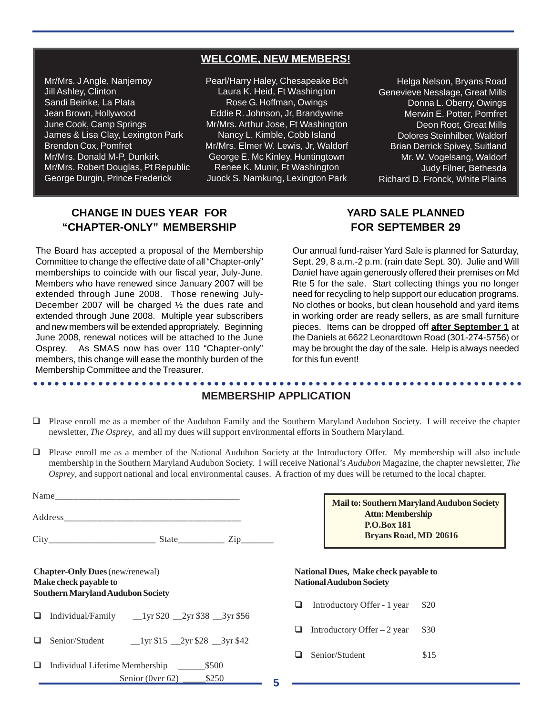# **WELCOME, NEW MEMBERS!**

**WELCOME, NEW MEMBERS!** James & Lisa Clay, Lexington Park Mr/Mrs. J Angle, Nanjemoy Jill Ashley, Clinton Sandi Beinke, La Plata Jean Brown, Hollywood June Cook, Camp Springs Brendon Cox, Pomfret Mr/Mrs. Donald M-P, Dunkirk Mr/Mrs. Robert Douglas, Pt Republic George Durgin, Prince Frederick

Pearl/Harry Haley, Chesapeake Bch Laura K. Heid, Ft Washington Rose G. Hoffman, Owings Eddie R. Johnson, Jr, Brandywine Mr/Mrs. Arthur Jose, Ft Washington Nancy L. Kimble, Cobb Island Mr/Mrs. Elmer W. Lewis, Jr, Waldorf George E. Mc Kinley, Huntingtown Renee K. Munir, Ft Washington Juock S. Namkung, Lexington Park

Helga Nelson, Bryans Road Genevieve Nesslage, Great Mills Donna L. Oberry, Owings Merwin E. Potter, Pomfret Deon Root, Great Mills Dolores Steinhilber, Waldorf Brian Derrick Spivey, Suitland Mr. W. Vogelsang, Waldorf Judy Filner, Bethesda Richard D. Fronck, White Plains

# **CHANGE IN DUES YEAR FOR "CHAPTER-ONLY" MEMBERSHIP**

The Board has accepted a proposal of the Membership Committee to change the effective date of all "Chapter-only" memberships to coincide with our fiscal year, July-June. Members who have renewed since January 2007 will be extended through June 2008. Those renewing July-December 2007 will be charged ½ the dues rate and extended through June 2008. Multiple year subscribers and new members will be extended appropriately. Beginning June 2008, renewal notices will be attached to the June Osprey. As SMAS now has over 110 "Chapter-only" members, this change will ease the monthly burden of the Membership Committee and the Treasurer.

# **YARD SALE PLANNED FOR SEPTEMBER 29**

Our annual fund-raiser Yard Sale is planned for Saturday, Sept. 29, 8 a.m.-2 p.m. (rain date Sept. 30). Julie and Will Daniel have again generously offered their premises on Md Rte 5 for the sale. Start collecting things you no longer need for recycling to help support our education programs. No clothes or books, but clean household and yard items in working order are ready sellers, as are small furniture pieces. Items can be dropped off **after September 1** at the Daniels at 6622 Leonardtown Road (301-274-5756) or may be brought the day of the sale. Help is always needed for this fun event!

#### ○○○○○○○○○○○○○○○○○○○○○○○○○○○○○○○○○○○○○○○○○○○○ ○○○○○○○○○○○○○○○○○○○○○○○○ **MEMBERSHIP APPLICATION**

- Please enroll me as a member of the Audubon Family and the Southern Maryland Audubon Society. I will receive the chapter newsletter, *The Osprey*, and all my dues will support environmental efforts in Southern Maryland.
- Please enroll me as a member of the National Audubon Society at the Introductory Offer. My membership will also include membership in the Southern Maryland Audubon Society. I will receive National's *Audubon* Magazine, the chapter newsletter, *The Osprey*, and support national and local environmental causes. A fraction of my dues will be returned to the local chapter.

|                                                                                                             |                                                                                       | <b>P.O.Box 181</b> | Mail to: Southern Maryland Audubon Society<br><b>Attn: Membership</b>   |      |  |
|-------------------------------------------------------------------------------------------------------------|---------------------------------------------------------------------------------------|--------------------|-------------------------------------------------------------------------|------|--|
|                                                                                                             | $City$ $State$ $Zip$                                                                  |                    | Bryans Road, MD 20616                                                   |      |  |
| <b>Chapter-Only Dues</b> (new/renewal)<br>Make check payable to<br><b>Southern Maryland Audubon Society</b> |                                                                                       |                    | National Dues, Make check payable to<br><b>National Audubon Society</b> |      |  |
| ⊔                                                                                                           |                                                                                       | ப                  | Introductory Offer - 1 year                                             | \$20 |  |
| ப                                                                                                           | Senior/Student $\qquad \qquad \qquad 1$ yr \$15 $\qquad 2$ yr \$28 $\qquad 3$ yr \$42 | ப                  | Introductory Offer $-2$ year                                            | \$30 |  |
| ❏                                                                                                           | \$500<br>Individual Lifetime Membership                                               | ш                  | Senior/Student                                                          | \$15 |  |
|                                                                                                             | \$250<br>Senior (0ver $62$ )                                                          | 5                  |                                                                         |      |  |